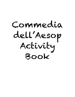Commedia dell'Aesop Activity Book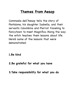### **Themes from Aesop**

Commedia dell'Aesop tells the story of Pantalone, his daughter Isabella, and their servants Columbina and Pierrot traveling to Fancytown to meet Magnifico. Along the way the witch teaches them lessons about life. Here's some of the lessons that were demonstrated:

# **1.Be kind** Be kind

#### **2.Be grateful for what you have** Be grateful for what you have

#### **3.Take responsibility for what you do** Take responsibility for what you do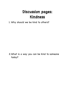## **Discussion pages: Kindness**

1. Why should we be kind to others? Why should we be kind to others?

2.What is a way you can be kind to someone today?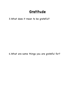#### **Gratitude**

3.What does it mean to be grateful? What does it mean to be grateful?

4.What are some things you are grateful for?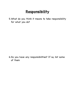### **Responsibility**

5.What do you think it means to take responsibility<br>for what you do? for what you do?

6.Do you have any responsibilities? If so, list some of them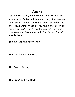#### **Aesop**

Aesop was a storyteller from Ancient Greece. He wrote many fables. A **fable** is a story that teaches us a lesson. Do you remember what the fables in the shows were? What do you think the lesson of each one was? (Hint: "Traveler and his Dog " were Pantalone and Columbina and "The Golden Goose " was Isabella)

The sun and the north wind

The Traveler and his Dog

The Golden Goose

The Miser and the Rock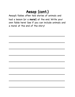## **Aesop (cont.)**

Aesop ' s fables often told stories of animals and had a lesson (or a **moral**) at the end. Write your own fable here! See if you can include animals and a moral at the end of the story!

\_\_\_\_\_\_\_\_\_\_\_\_\_\_\_\_\_\_\_\_\_\_\_\_\_\_\_\_\_\_\_\_\_\_\_\_

\_\_\_\_\_\_\_\_\_\_\_\_\_\_\_\_\_\_\_\_\_\_\_\_\_\_\_\_\_\_\_\_\_\_\_\_

\_\_\_\_\_\_\_\_\_\_\_\_\_\_\_\_\_\_\_\_\_\_\_\_\_\_\_\_\_\_\_\_\_\_\_\_

\_\_\_\_\_\_\_\_\_\_\_\_\_\_\_\_\_\_\_\_\_\_\_\_\_\_\_\_\_\_\_\_\_\_\_\_

\_\_\_\_\_\_\_\_\_\_\_\_\_\_\_\_\_\_\_\_\_\_\_\_\_\_\_\_\_\_\_\_\_\_\_\_

\_\_\_\_\_\_\_\_\_\_\_\_\_\_\_\_\_\_\_\_\_\_\_\_\_\_\_\_\_\_\_\_\_\_\_\_

\_\_\_\_\_\_\_\_\_\_\_\_\_\_\_\_\_\_\_\_\_\_\_\_\_\_\_\_\_\_\_\_\_\_\_\_

\_\_\_\_\_\_\_\_\_\_\_\_\_\_\_\_\_\_\_\_\_\_\_\_\_\_\_\_\_\_\_\_\_\_\_\_

\_\_\_\_\_\_\_\_\_\_\_\_\_\_\_\_\_\_\_\_\_\_\_\_\_\_\_\_\_\_\_\_\_\_\_\_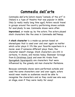# **Commedia dell'arte**

Commedia dell' arte (which means "comedy of the art" in Italian) is a type of theatre that was popular in 1600s Italy (a really really long time ago!). Actors would travel in groups around the country performing shows outside for everybody to see. Commedia shows were often **improvised**, or made up, by the actors. The actors played stock characters like the ones in Commedia dell'Aesop.

A **stock character** is a made-up person based on stereotypes that is used over and over again no matter which actor plays it. It' s like your favorite superhero in a movie: even if someone different plays them, the character doesn 't change. Stock characters are still in cartoons, tv shows, and movies today. Ebenezer Scrooge from A Christmas Carol and even Mr. Krabs from Spongebob Squarepants are characters that were influenced by the greedy old man character Pantalone.

Because commedia shows were performed outside and used the same characters over and over again, actors would wear masks so audiences would be able to recognize the characters and so they could see who was on stage, even if they were really far away!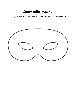### **Commedia Masks**

Make your own mask inspired by commedia dell'arte characters!

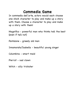## **Commedia Game**

In commedia dell' arte, actors would each choose one stock character to play and make up a story with them. Choose a character to play and make up a story with them!

Magnifico - powerful man who thinks he's the best (even if he's not)

Pantalone - greedy old man

Innamorata/Isabella - beautiful young singer

Columbina - smart maid

Pierrot - sad clown

Witch - silly trickster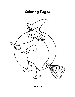# **Coloring Pages**



The Witch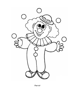

Pierrot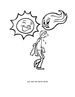

Sun and the North Wind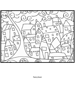

Fancytown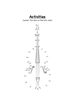**Activities**

Connect the dots on Pierrot's violin!

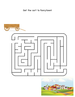Get the cart to Fancytown!